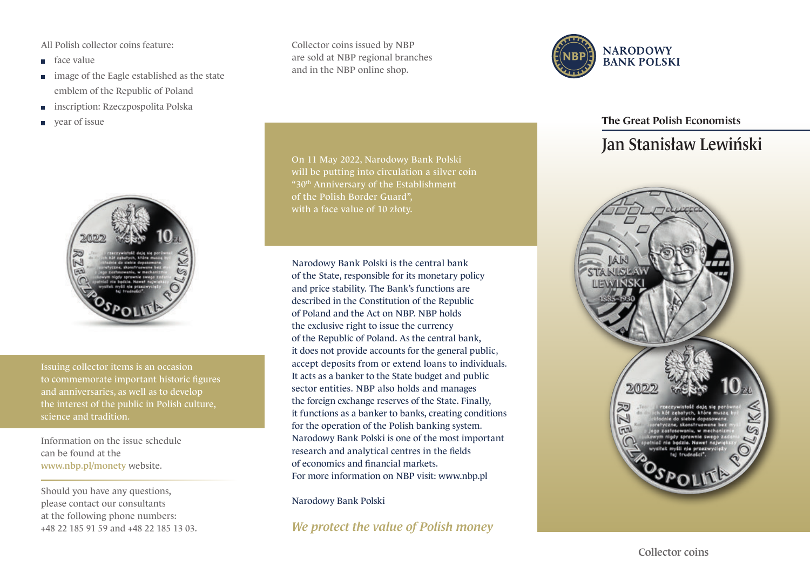All Polish collector coins feature:

- face value
- image of the Eagle established as the state emblem of the Republic of Poland
- inscription: Rzeczpospolita Polska m.
- year of issue



Issuing collector items is an occasion to commemorate important historic figures and anniversaries, as well as to develop the interest of the public in Polish culture, science and tradition.

Information on the issue schedule can be found at the www.nbp.pl/monety website.

Should you have any questions, please contact our consultants at the following phone numbers: +48 22 185 91 59 and +48 22 185 13 03. Collector coins issued by NBP are sold at NBP regional branches and in the NBP online shop.



Narodowy Bank Polski is the central bank of the State, responsible for its monetary policy and price stability. The Bank's functions are described in the Constitution of the Republic of Poland and the Act on NBP. NBP holds the exclusive right to issue the currency of the Republic of Poland. As the central bank, it does not provide accounts for the general public, accept deposits from or extend loans to individuals. It acts as a banker to the State budget and public sector entities. NBP also holds and manages the foreign exchange reserves of the State. Finally, it functions as a banker to banks, creating conditions for the operation of the Polish banking system. Narodowy Bank Polski is one of the most important research and analytical centres in the fields of economics and financial markets. For more information on NBP visit: www.nbp.pl

Narodowy Bank Polski

*We protect the value of Polish money*



## The Great Polish Economists

## Jan Stanisław Lewiński